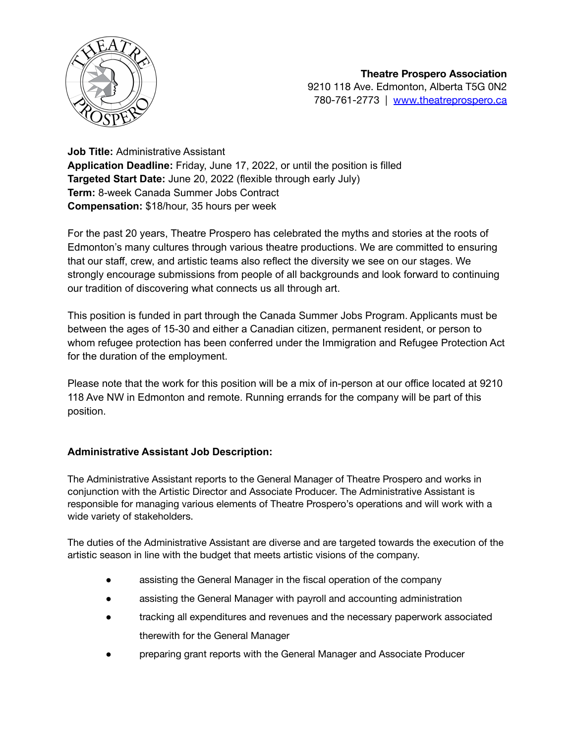

**Job Title:** Administrative Assistant **Application Deadline:** Friday, June 17, 2022, or until the position is filled **Targeted Start Date:** June 20, 2022 (flexible through early July) **Term:** 8-week Canada Summer Jobs Contract **Compensation:** \$18/hour, 35 hours per week

For the past 20 years, Theatre Prospero has celebrated the myths and stories at the roots of Edmonton's many cultures through various theatre productions. We are committed to ensuring that our staff, crew, and artistic teams also reflect the diversity we see on our stages. We strongly encourage submissions from people of all backgrounds and look forward to continuing our tradition of discovering what connects us all through art.

This position is funded in part through the Canada Summer Jobs Program. Applicants must be between the ages of 15-30 and either a Canadian citizen, permanent resident, or person to whom refugee protection has been conferred under the Immigration and Refugee Protection Act for the duration of the employment.

Please note that the work for this position will be a mix of in-person at our office located at 9210 118 Ave NW in Edmonton and remote. Running errands for the company will be part of this position.

## **Administrative Assistant Job Description:**

The Administrative Assistant reports to the General Manager of Theatre Prospero and works in conjunction with the Artistic Director and Associate Producer. The Administrative Assistant is responsible for managing various elements of Theatre Prospero's operations and will work with a wide variety of stakeholders.

The duties of the Administrative Assistant are diverse and are targeted towards the execution of the artistic season in line with the budget that meets artistic visions of the company.

- assisting the General Manager in the fiscal operation of the company
- assisting the General Manager with payroll and accounting administration
- tracking all expenditures and revenues and the necessary paperwork associated therewith for the General Manager
- preparing grant reports with the General Manager and Associate Producer